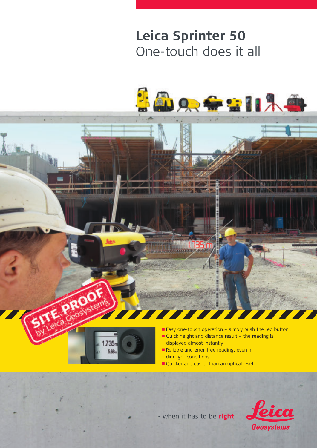## **Leica Sprinter 50** One-touch does it all





- when it has to be right